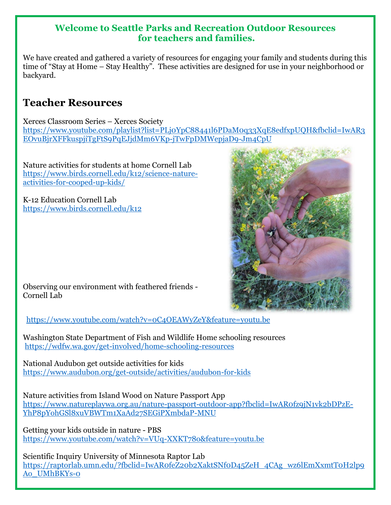### **Welcome to Seattle Parks and Recreation Outdoor Resources for teachers and families.**

We have created and gathered a variety of resources for engaging your family and students during this time of "Stay at Home – Stay Healthy". These activities are designed for use in your neighborhood or backyard.

## **Teacher Resources**

Xerces Classroom Series – Xerces Society [https://www.youtube.com/playlist?list=PLj0YpC88441l6PDaM0q33XqE8edfxpUQH&fbclid=IwAR3](https://www.youtube.com/playlist?list=PLj0YpC88441l6PDaM0q33XqE8edfxpUQH&fbclid=IwAR3EOvuBjrXFFkuspjiTgFtS9PqEJjdMm6VKp-jTwFpDMWepjaD9-Jm4CpU) [EOvuBjrXFFkuspjiTgFtS9PqEJjdMm6VKp-jTwFpDMWepjaD9-Jm4CpU](https://www.youtube.com/playlist?list=PLj0YpC88441l6PDaM0q33XqE8edfxpUQH&fbclid=IwAR3EOvuBjrXFFkuspjiTgFtS9PqEJjdMm6VKp-jTwFpDMWepjaD9-Jm4CpU)

Nature activities for students at home Cornell Lab [https://www.birds.cornell.edu/k12/science-nature](https://www.birds.cornell.edu/k12/science-nature-activities-for-cooped-up-kids/)[activities-for-cooped-up-kids/](https://www.birds.cornell.edu/k12/science-nature-activities-for-cooped-up-kids/)

K-12 Education Cornell Lab <https://www.birds.cornell.edu/k12>



Observing our environment with feathered friends - Cornell Lab

<https://www.youtube.com/watch?v=0C4OEAWyZeY&feature=youtu.be>

Washington State Department of Fish and Wildlife Home schooling resources <https://wdfw.wa.gov/get-involved/home-schooling-resources>

National Audubon get outside activities for kids <https://www.audubon.org/get-outside/activities/audubon-for-kids>

Nature activities from Island Wood on Nature Passport App [https://www.natureplaywa.org.au/nature-passport-outdoor-app?fbclid=IwAR0fz9jN1vk2bDPzE-](https://www.natureplaywa.org.au/nature-passport-outdoor-app?fbclid=IwAR0fz9jN1vk2bDPzE-YhP8pYohGSl8xuVBWTm1XaAd27SEGiPXmbdaP-MNU)[YhP8pYohGSl8xuVBWTm1XaAd27SEGiPXmbdaP-MNU](https://www.natureplaywa.org.au/nature-passport-outdoor-app?fbclid=IwAR0fz9jN1vk2bDPzE-YhP8pYohGSl8xuVBWTm1XaAd27SEGiPXmbdaP-MNU)

Getting your kids outside in nature - PBS <https://www.youtube.com/watch?v=VUq-XXKT78o&feature=youtu.be>

Scientific Inquiry University of Minnesota Raptor Lab [https://raptorlab.umn.edu/?fbclid=IwAR0feZ20b2XaktSNf0D45ZeH\\_4CAg\\_wz6lEmXxmtT0H2lp9](https://raptorlab.umn.edu/?fbclid=IwAR0feZ20b2XaktSNf0D45ZeH_4CAg_wz6lEmXxmtT0H2lp9Ao_UMhBKYs-0) [Ao\\_UMhBKYs-0](https://raptorlab.umn.edu/?fbclid=IwAR0feZ20b2XaktSNf0D45ZeH_4CAg_wz6lEmXxmtT0H2lp9Ao_UMhBKYs-0)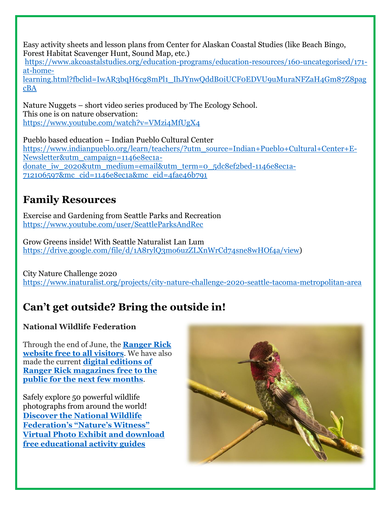Easy activity sheets and lesson plans from Center for Alaskan Coastal Studies (like Beach Bingo, Forest Habitat Scavenger Hunt, Sound Map, etc.)

[https://www.akcoastalstudies.org/education-programs/education-resources/160-uncategorised/171](https://www.akcoastalstudies.org/education-programs/education-resources/160-uncategorised/171-at-home-learning.html?fbclid=IwAR3bqH6cg8mPl1_IhJYnwQddB0iUCF0EDVU9uMuraNFZaH4Gm87Z8pagcBA) [at-home-](https://www.akcoastalstudies.org/education-programs/education-resources/160-uncategorised/171-at-home-learning.html?fbclid=IwAR3bqH6cg8mPl1_IhJYnwQddB0iUCF0EDVU9uMuraNFZaH4Gm87Z8pagcBA)

[learning.html?fbclid=IwAR3bqH6cg8mPl1\\_IhJYnwQddB0iUCF0EDVU9uMuraNFZaH4Gm87Z8pag](https://www.akcoastalstudies.org/education-programs/education-resources/160-uncategorised/171-at-home-learning.html?fbclid=IwAR3bqH6cg8mPl1_IhJYnwQddB0iUCF0EDVU9uMuraNFZaH4Gm87Z8pagcBA) [cBA](https://www.akcoastalstudies.org/education-programs/education-resources/160-uncategorised/171-at-home-learning.html?fbclid=IwAR3bqH6cg8mPl1_IhJYnwQddB0iUCF0EDVU9uMuraNFZaH4Gm87Z8pagcBA)

Nature Nuggets – short video series produced by The Ecology School. This one is on nature observation: <https://www.youtube.com/watch?v=VMzi4MfUgX4>

Pueblo based education – Indian Pueblo Cultural Center [https://www.indianpueblo.org/learn/teachers/?utm\\_source=Indian+Pueblo+Cultural+Center+E-](https://www.indianpueblo.org/learn/teachers/?utm_source=Indian+Pueblo+Cultural+Center+E-Newsletter&utm_campaign=1146e8ec1a-donate_iw_2020&utm_medium=email&utm_term=0_5dc8ef2bed-1146e8ec1a-712106597&mc_cid=1146e8ec1a&mc_eid=4fae46b791)[Newsletter&utm\\_campaign=1146e8ec1a](https://www.indianpueblo.org/learn/teachers/?utm_source=Indian+Pueblo+Cultural+Center+E-Newsletter&utm_campaign=1146e8ec1a-donate_iw_2020&utm_medium=email&utm_term=0_5dc8ef2bed-1146e8ec1a-712106597&mc_cid=1146e8ec1a&mc_eid=4fae46b791)[donate\\_iw\\_2020&utm\\_medium=email&utm\\_term=0\\_5dc8ef2bed-1146e8ec1a-](https://www.indianpueblo.org/learn/teachers/?utm_source=Indian+Pueblo+Cultural+Center+E-Newsletter&utm_campaign=1146e8ec1a-donate_iw_2020&utm_medium=email&utm_term=0_5dc8ef2bed-1146e8ec1a-712106597&mc_cid=1146e8ec1a&mc_eid=4fae46b791)[712106597&mc\\_cid=1146e8ec1a&mc\\_eid=4fae46b791](https://www.indianpueblo.org/learn/teachers/?utm_source=Indian+Pueblo+Cultural+Center+E-Newsletter&utm_campaign=1146e8ec1a-donate_iw_2020&utm_medium=email&utm_term=0_5dc8ef2bed-1146e8ec1a-712106597&mc_cid=1146e8ec1a&mc_eid=4fae46b791)

## **Family Resources**

Exercise and Gardening from Seattle Parks and Recreation <https://www.youtube.com/user/SeattleParksAndRec>

Grow Greens inside! With Seattle Naturalist Lan Lum [https://drive.google.com/file/d/1A8rylQ3mo6uzZLXnWrCd74sne8wHOf4a/view\)](https://drive.google.com/file/d/1A8rylQ3mo6uzZLXnWrCd74sne8wHOf4a/view)

City Nature Challenge 2020 <https://www.inaturalist.org/projects/city-nature-challenge-2020-seattle-tacoma-metropolitan-area>

# **Can't get outside? Bring the outside in!**

### **National Wildlife Federation**

Through the end of June, the **[Ranger Rick](https://us.e-activist.com/ea-action/enclick?ea.url.id=428215&clid=10033&ea.campaigner.email=%2B2g0CNA5UNeoDowXZygH5fsbMubIcdXI&ea.campaigner.id=pK%2B1rPKF2T6ZkArzVWMSmA==&ea_broadcast_target_id=0)  [website free to all visitors](https://us.e-activist.com/ea-action/enclick?ea.url.id=428215&clid=10033&ea.campaigner.email=%2B2g0CNA5UNeoDowXZygH5fsbMubIcdXI&ea.campaigner.id=pK%2B1rPKF2T6ZkArzVWMSmA==&ea_broadcast_target_id=0)**. We have also made the current **[digital editions of](https://us.e-activist.com/ea-action/enclick?ea.url.id=428216&clid=10033&ea.campaigner.email=%2B2g0CNA5UNeoDowXZygH5fsbMubIcdXI&ea.campaigner.id=pK%2B1rPKF2T6ZkArzVWMSmA==&ea_broadcast_target_id=0)  [Ranger Rick magazines free to the](https://us.e-activist.com/ea-action/enclick?ea.url.id=428216&clid=10033&ea.campaigner.email=%2B2g0CNA5UNeoDowXZygH5fsbMubIcdXI&ea.campaigner.id=pK%2B1rPKF2T6ZkArzVWMSmA==&ea_broadcast_target_id=0)  [public for the next few months](https://us.e-activist.com/ea-action/enclick?ea.url.id=428216&clid=10033&ea.campaigner.email=%2B2g0CNA5UNeoDowXZygH5fsbMubIcdXI&ea.campaigner.id=pK%2B1rPKF2T6ZkArzVWMSmA==&ea_broadcast_target_id=0)**.

Safely explore 50 powerful wildlife photographs from around the world! **[Discover the National Wildlife](https://us.e-activist.com/ea-action/enclick?ea.url.id=428217&clid=10033&ea.campaigner.email=%2B2g0CNA5UNeoDowXZygH5fsbMubIcdXI&ea.campaigner.id=pK%2B1rPKF2T6ZkArzVWMSmA==&ea_broadcast_target_id=0)  [Federation's "Nature's Witness"](https://us.e-activist.com/ea-action/enclick?ea.url.id=428217&clid=10033&ea.campaigner.email=%2B2g0CNA5UNeoDowXZygH5fsbMubIcdXI&ea.campaigner.id=pK%2B1rPKF2T6ZkArzVWMSmA==&ea_broadcast_target_id=0)  [Virtual Photo Exhibit and download](https://us.e-activist.com/ea-action/enclick?ea.url.id=428217&clid=10033&ea.campaigner.email=%2B2g0CNA5UNeoDowXZygH5fsbMubIcdXI&ea.campaigner.id=pK%2B1rPKF2T6ZkArzVWMSmA==&ea_broadcast_target_id=0)  [free educational activity guides](https://us.e-activist.com/ea-action/enclick?ea.url.id=428217&clid=10033&ea.campaigner.email=%2B2g0CNA5UNeoDowXZygH5fsbMubIcdXI&ea.campaigner.id=pK%2B1rPKF2T6ZkArzVWMSmA==&ea_broadcast_target_id=0)**